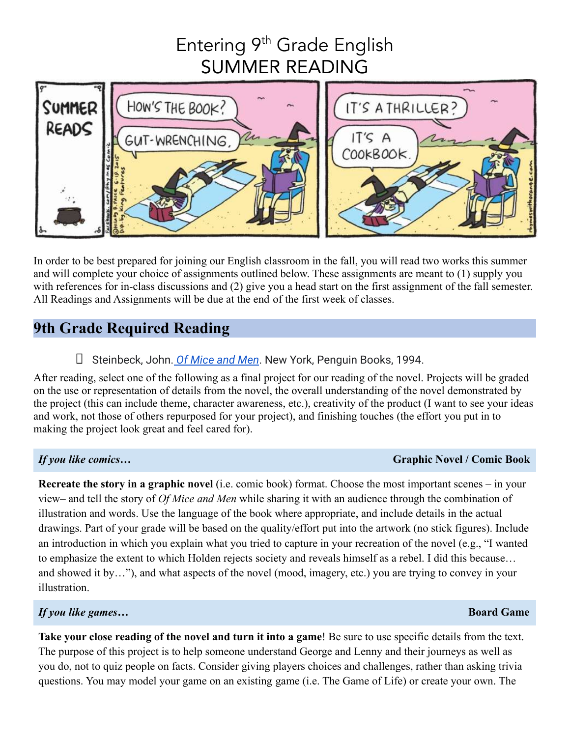# Entering 9<sup>th</sup> Grade English SUMMER READING



In order to be best prepared for joining our English classroom in the fall, you will read two works this summer and will complete your choice of assignments outlined below. These assignments are meant to (1) supply you with references for in-class discussions and (2) give you a head start on the first assignment of the fall semester. All Readings and Assignments will be due at the end of the first week of classes.

# **9th Grade Required Reading**

## ⮚ Steinbeck, John. *[Of Mice and Men](https://www.amazon.com/Mice-Men-John-Steinbeck/dp/0140177396)*. New York, Penguin Books, 1994.

After reading, select one of the following as a final project for our reading of the novel. Projects will be graded on the use or representation of details from the novel, the overall understanding of the novel demonstrated by the project (this can include theme, character awareness, etc.), creativity of the product (I want to see your ideas and work, not those of others repurposed for your project), and finishing touches (the effort you put in to making the project look great and feel cared for).

### *If you like comics…* **Graphic Novel / Comic Book**

**Recreate the story in a graphic novel** (i.e. comic book) format. Choose the most important scenes – in your view– and tell the story of *Of Mice and Men* while sharing it with an audience through the combination of illustration and words. Use the language of the book where appropriate, and include details in the actual drawings. Part of your grade will be based on the quality/effort put into the artwork (no stick figures). Include an introduction in which you explain what you tried to capture in your recreation of the novel (e.g., "I wanted to emphasize the extent to which Holden rejects society and reveals himself as a rebel. I did this because… and showed it by…"), and what aspects of the novel (mood, imagery, etc.) you are trying to convey in your illustration.

### *If you like games…* **Board Game**

**Take your close reading of the novel and turn it into a game**! Be sure to use specific details from the text. The purpose of this project is to help someone understand George and Lenny and their journeys as well as you do, not to quiz people on facts. Consider giving players choices and challenges, rather than asking trivia questions. You may model your game on an existing game (i.e. The Game of Life) or create your own. The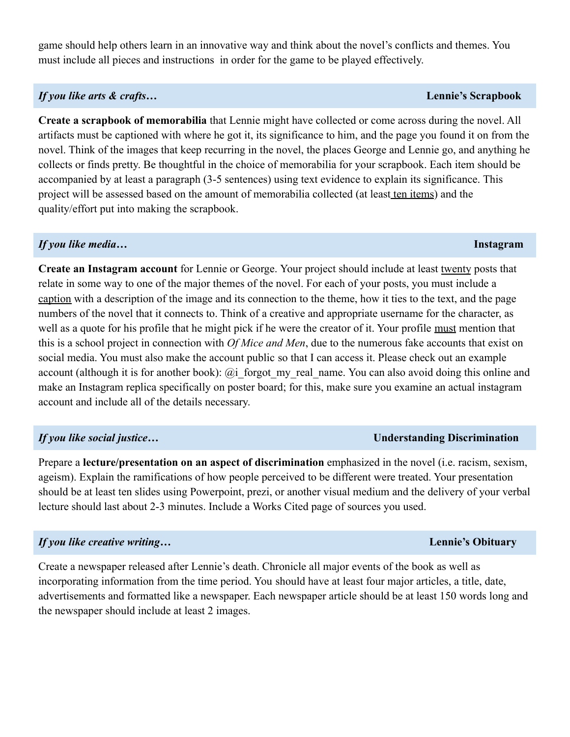game should help others learn in an innovative way and think about the novel's conflicts and themes. You must include all pieces and instructions in order for the game to be played effectively.

### *If you like arts & crafts…* **Lennie's Scrapbook**

**Create a scrapbook of memorabilia** that Lennie might have collected or come across during the novel. All artifacts must be captioned with where he got it, its significance to him, and the page you found it on from the novel. Think of the images that keep recurring in the novel, the places George and Lennie go, and anything he collects or finds pretty. Be thoughtful in the choice of memorabilia for your scrapbook. Each item should be accompanied by at least a paragraph (3-5 sentences) using text evidence to explain its significance. This project will be assessed based on the amount of memorabilia collected (at least ten items) and the quality/effort put into making the scrapbook.

### *If you like media…* **Instagram**

**Create an Instagram account** for Lennie or George. Your project should include at least twenty posts that relate in some way to one of the major themes of the novel. For each of your posts, you must include a caption with a description of the image and its connection to the theme, how it ties to the text, and the page numbers of the novel that it connects to. Think of a creative and appropriate username for the character, as well as a quote for his profile that he might pick if he were the creator of it. Your profile must mention that this is a school project in connection with *Of Mice and Men*, due to the numerous fake accounts that exist on social media. You must also make the account public so that I can access it. Please check out an example account (although it is for another book): @i\_forgot\_my\_real\_name. You can also avoid doing this online and make an Instagram replica specifically on poster board; for this, make sure you examine an actual instagram account and include all of the details necessary.

Prepare a **lecture/presentation on an aspect of discrimination** emphasized in the novel (i.e. racism, sexism, ageism). Explain the ramifications of how people perceived to be different were treated. Your presentation should be at least ten slides using Powerpoint, prezi, or another visual medium and the delivery of your verbal lecture should last about 2-3 minutes. Include a Works Cited page of sources you used.

### *If you like creative writing…* **Lennie's Obituary**

Create a newspaper released after Lennie's death. Chronicle all major events of the book as well as incorporating information from the time period. You should have at least four major articles, a title, date, advertisements and formatted like a newspaper. Each newspaper article should be at least 150 words long and the newspaper should include at least 2 images.

### *If you like social justice…* **Understanding Discrimination**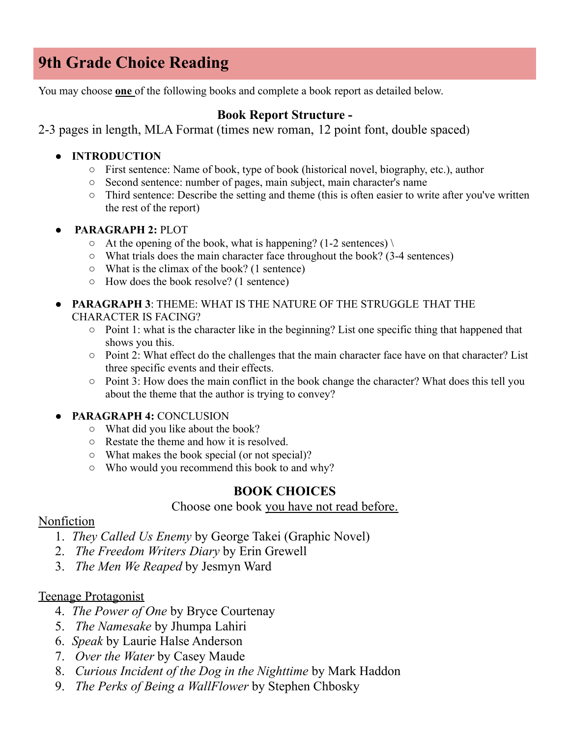# **9th Grade Choice Reading**

You may choose **one** of the following books and complete a book report as detailed below.

### **Book Report Structure -**

2-3 pages in length, MLA Format (times new roman, 12 point font, double spaced)

- **● INTRODUCTION**
	- First sentence: Name of book, type of book (historical novel, biography, etc.), author
	- Second sentence: number of pages, main subject, main character's name
	- Third sentence: Describe the setting and theme (this is often easier to write after you've written the rest of the report)
- **PARAGRAPH 2:** PLOT
	- $\circ$  At the opening of the book, what is happening? (1-2 sentences) \
	- $\circ$  What trials does the main character face throughout the book? (3-4 sentences)
	- What is the climax of the book? (1 sentence)
	- How does the book resolve? (1 sentence)
- **PARAGRAPH 3**: THEME: WHAT IS THE NATURE OF THE STRUGGLE THAT THE CHARACTER IS FACING?
	- Point 1: what is the character like in the beginning? List one specific thing that happened that shows you this.
	- Point 2: What effect do the challenges that the main character face have on that character? List three specific events and their effects.
	- Point 3: How does the main conflict in the book change the character? What does this tell you about the theme that the author is trying to convey?

### ● **PARAGRAPH 4:** CONCLUSION

- What did you like about the book?
- Restate the theme and how it is resolved.
- What makes the book special (or not special)?
- Who would you recommend this book to and why?

### **BOOK CHOICES**

### Choose one book you have not read before.

### Nonfiction

- 1. *They Called Us Enemy* by George Takei (Graphic Novel)
- 2. *The Freedom Writers Diary* by Erin Grewell
- 3. *The Men We Reaped* by Jesmyn Ward

### Teenage Protagonist

- 4. *The Power of One* by Bryce Courtenay
- 5. *The Namesake* by Jhumpa Lahiri
- 6. *Speak* by Laurie Halse Anderson
- 7. *Over the Water* by Casey Maude
- 8. *Curious Incident of the Dog in the Nighttime* by Mark Haddon
- 9. *The Perks of Being a WallFlower* by Stephen Chbosky